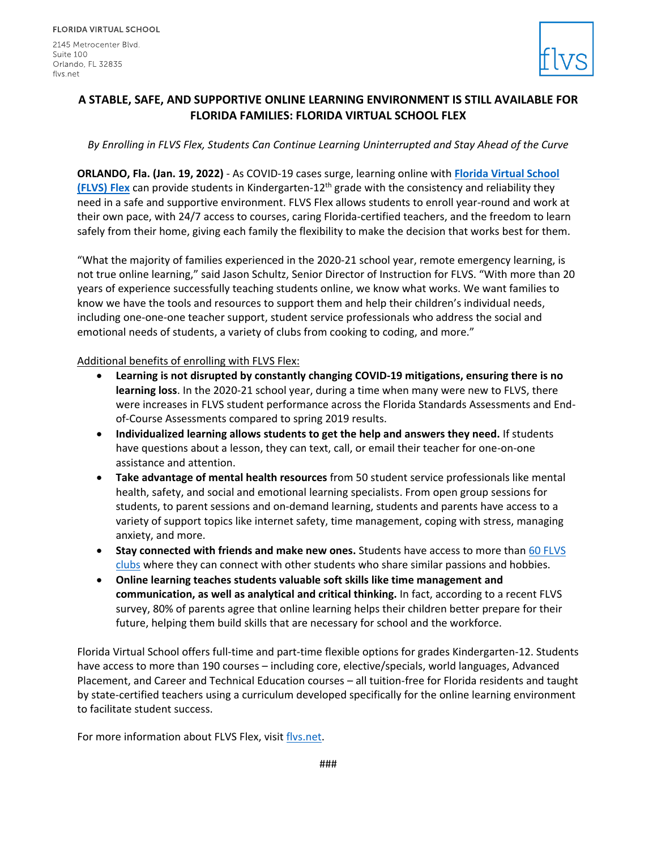2145 Metrocenter Blvd. Suite 100 Orlando, FL 32835 flys.net



## **A STABLE, SAFE, AND SUPPORTIVE ONLINE LEARNING ENVIRONMENT IS STILL AVAILABLE FOR FLORIDA FAMILIES: FLORIDA VIRTUAL SCHOOL FLEX**

## *By Enrolling in FLVS Flex, Students Can Continue Learning Uninterrupted and Stay Ahead of the Curve*

**ORLANDO, Fla. (Jan. 19, 2022)** - As COVID-19 cases surge, learning online with **[Florida Virtual School](https://www.flvs.net/flex)  [\(FLVS\) Flex](https://www.flvs.net/flex)** can provide students in Kindergarten-12<sup>th</sup> grade with the consistency and reliability they need in a safe and supportive environment. FLVS Flex allows students to enroll year-round and work at their own pace, with 24/7 access to courses, caring Florida-certified teachers, and the freedom to learn safely from their home, giving each family the flexibility to make the decision that works best for them.

"What the majority of families experienced in the 2020-21 school year, remote emergency learning, is not true online learning," said Jason Schultz, Senior Director of Instruction for FLVS. "With more than 20 years of experience successfully teaching students online, we know what works. We want families to know we have the tools and resources to support them and help their children's individual needs, including one-one-one teacher support, student service professionals who address the social and emotional needs of students, a variety of clubs from cooking to coding, and more."

## Additional benefits of enrolling with FLVS Flex:

- **Learning is not disrupted by constantly changing COVID-19 mitigations, ensuring there is no learning loss**. In the 2020-21 school year, during a time when many were new to FLVS, there were increases in FLVS student performance across the Florida Standards Assessments and Endof-Course Assessments compared to spring 2019 results.
- **Individualized learning allows students to get the help and answers they need.** If students have questions about a lesson, they can text, call, or email their teacher for one-on-one assistance and attention.
- **Take advantage of mental health resources** from 50 student service professionals like mental health, safety, and social and emotional learning specialists. From open group sessions for students, to parent sessions and on-demand learning, students and parents have access to a variety of support topics like internet safety, time management, coping with stress, managing anxiety, and more.
- **Stay connected with friends and make new ones.** Students have access to more than [60 FLVS](https://www.flvs.net/student-resources/clubs-activities/clubs) [clubs](https://www.flvs.net/student-resources/clubs-activities/clubs) where they can connect with other students who share similar passions and hobbies.
- **Online learning teaches students valuable soft skills like time management and communication, as well as analytical and critical thinking.** In fact, according to a recent FLVS survey, 80% of parents agree that online learning helps their children better prepare for their future, helping them build skills that are necessary for school and the workforce.

Florida Virtual School offers full-time and part-time flexible options for grades Kindergarten-12. Students have access to more than 190 courses – including core, elective/specials, world languages, Advanced Placement, and Career and Technical Education courses – all tuition-free for Florida residents and taught by state-certified teachers using a curriculum developed specifically for the online learning environment to facilitate student success.

For more information about FLVS Flex, visit [flvs.net.](https://www.flvs.net/flex)